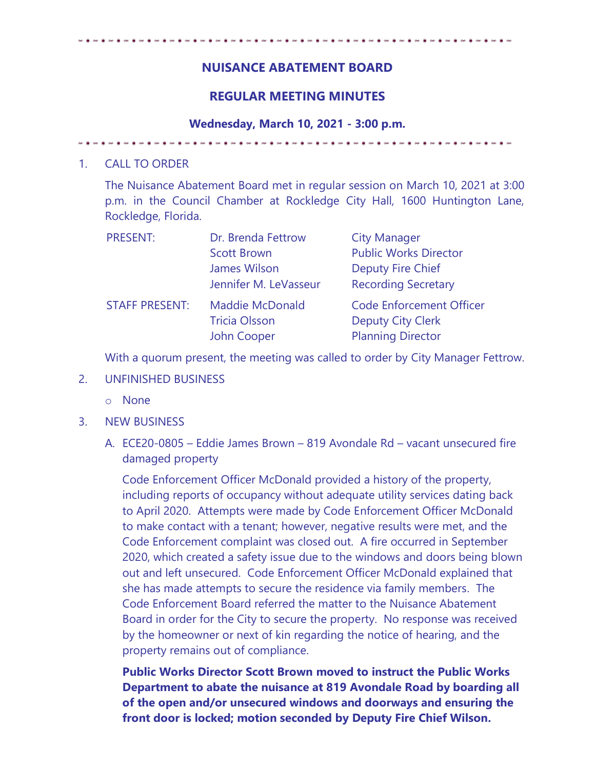## **NUISANCE ABATEMENT BOARD**

## **REGULAR MEETING MINUTES**

**Wednesday, March 10, 2021 - 3:00 p.m.** 

## 1. CALL TO ORDER

The Nuisance Abatement Board met in regular session on March 10, 2021 at 3:00 p.m. in the Council Chamber at Rockledge City Hall, 1600 Huntington Lane, Rockledge, Florida.

| <b>PRESENT:</b>       | Dr. Brenda Fettrow                                            | <b>City Manager</b>                                                                     |
|-----------------------|---------------------------------------------------------------|-----------------------------------------------------------------------------------------|
|                       | <b>Scott Brown</b>                                            | <b>Public Works Director</b>                                                            |
|                       | James Wilson                                                  | <b>Deputy Fire Chief</b>                                                                |
|                       | Jennifer M. LeVasseur                                         | <b>Recording Secretary</b>                                                              |
| <b>STAFF PRESENT:</b> | <b>Maddie McDonald</b><br><b>Tricia Olsson</b><br>John Cooper | <b>Code Enforcement Officer</b><br><b>Deputy City Clerk</b><br><b>Planning Director</b> |

With a quorum present, the meeting was called to order by City Manager Fettrow.

- 2. UNFINISHED BUSINESS
	- o None
- 3. NEW BUSINESS
	- A. ECE20-0805 Eddie James Brown 819 Avondale Rd vacant unsecured fire damaged property

Code Enforcement Officer McDonald provided a history of the property, including reports of occupancy without adequate utility services dating back to April 2020. Attempts were made by Code Enforcement Officer McDonald to make contact with a tenant; however, negative results were met, and the Code Enforcement complaint was closed out. A fire occurred in September 2020, which created a safety issue due to the windows and doors being blown out and left unsecured. Code Enforcement Officer McDonald explained that she has made attempts to secure the residence via family members. The Code Enforcement Board referred the matter to the Nuisance Abatement Board in order for the City to secure the property. No response was received by the homeowner or next of kin regarding the notice of hearing, and the property remains out of compliance.

**Public Works Director Scott Brown moved to instruct the Public Works Department to abate the nuisance at 819 Avondale Road by boarding all of the open and/or unsecured windows and doorways and ensuring the front door is locked; motion seconded by Deputy Fire Chief Wilson.**